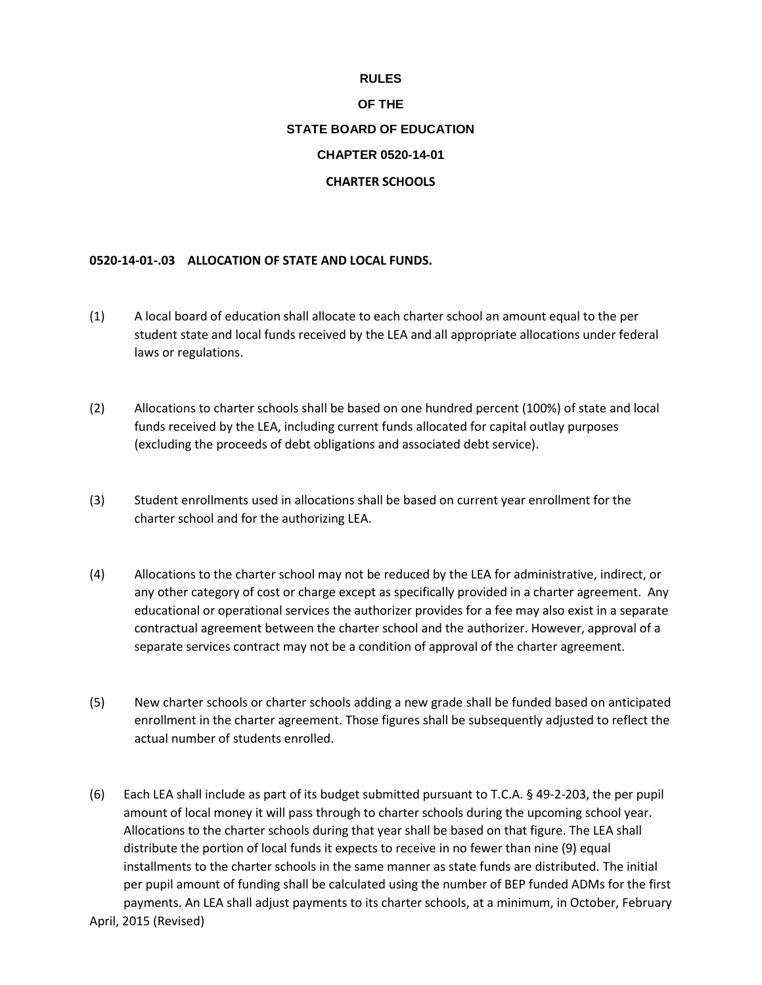## **RULES**

## **OF THE STATE BOARD OF EDUCATION CHAPTER 0520-14-01**

## **CHARTER SCHOOLS**

## **0520-14-01-.03 ALLOCATION OF STATE AND LOCAL FUNDS.**

- (1) A local board of education shall allocate to each charter school an amount equal to the per student state and local funds received by the LEA and all appropriate allocations under federal laws or regulations.
- (2) Allocations to charter schools shall be based on one hundred percent (100%) of state and local funds received by the LEA, including current funds allocated for capital outlay purposes (excluding the proceeds of debt obligations and associated debt service).
- (3) Student enrollments used in allocations shall be based on current year enrollment for the charter school and for the authorizing LEA.
- (4) Allocations to the charter school may not be reduced by the LEA for administrative, indirect, or any other category of cost or charge except as specifically provided in a charter agreement. Any educational or operational services the authorizer provides for a fee may also exist in a separate contractual agreement between the charter school and the authorizer. However, approval of a separate services contract may not be a condition of approval of the charter agreement.
- (5) New charter schools or charter schools adding a new grade shall be funded based on anticipated enrollment in the charter agreement. Those figures shall be subsequently adjusted to reflect the actual number of students enrolled.
- April, 2015 (Revised) (6) Each LEA shall include as part of its budget submitted pursuant to T.C.A. § 49-2-203, the per pupil amount of local money it will pass through to charter schools during the upcoming school year. Allocations to the charter schools during that year shall be based on that figure. The LEA shall distribute the portion of local funds it expects to receive in no fewer than nine (9) equal installments to the charter schools in the same manner as state funds are distributed. The initial per pupil amount of funding shall be calculated using the number of BEP funded ADMs for the first payments. An LEA shall adjust payments to its charter schools, at a minimum, in October, February